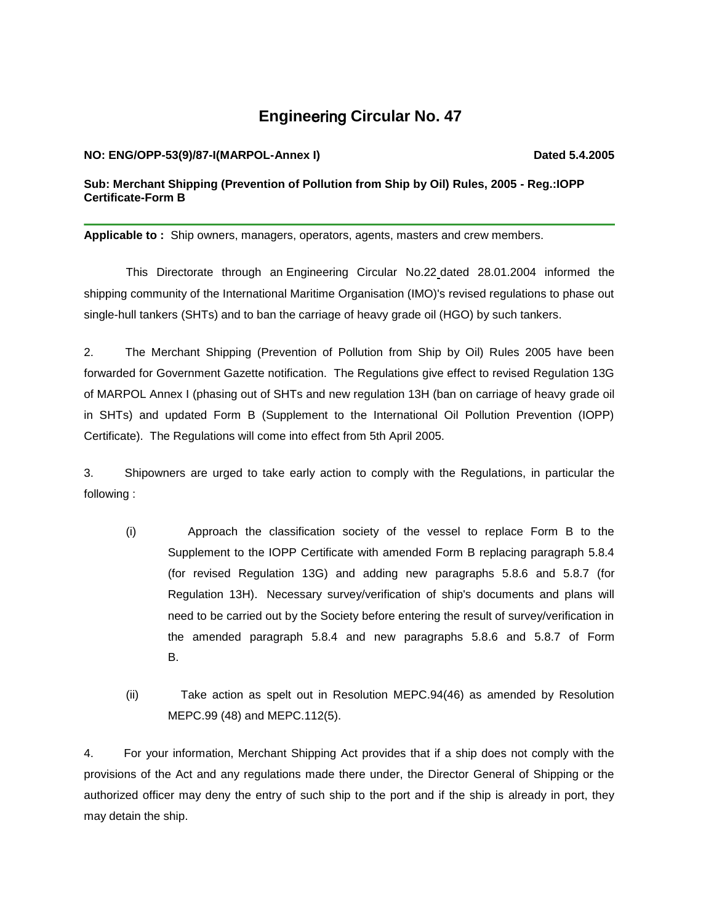## **Engine**ering **Circular No. 47**

## **NO: ENG/OPP-53(9)/87-I(MARPOL-Annex I) Dated 5.4.2005**

**Sub: Merchant Shipping (Prevention of Pollution from Ship by Oil) Rules, 2005 - Reg.:IOPP Certificate-Form B**

**Applicable to :** Ship owners, managers, operators, agents, masters and crew members.

This Directorate through an Engineering Circular No.22 dated 28.01.2004 informed the shipping community of the International Maritime Organisation (IMO)'s revised regulations to phase out single-hull tankers (SHTs) and to ban the carriage of heavy grade oil (HGO) by such tankers.

2. The Merchant Shipping (Prevention of Pollution from Ship by Oil) Rules 2005 have been forwarded for Government Gazette notification. The Regulations give effect to revised Regulation 13G of MARPOL Annex I (phasing out of SHTs and new regulation 13H (ban on carriage of heavy grade oil in SHTs) and updated Form B (Supplement to the International Oil Pollution Prevention (IOPP) Certificate). The Regulations will come into effect from 5th April 2005.

3. Shipowners are urged to take early action to comply with the Regulations, in particular the following :

- (i) Approach the classification society of the vessel to replace Form B to the Supplement to the IOPP Certificate with amended Form B replacing paragraph 5.8.4 (for revised Regulation 13G) and adding new paragraphs 5.8.6 and 5.8.7 (for Regulation 13H). Necessary survey/verification of ship's documents and plans will need to be carried out by the Society before entering the result of survey/verification in the amended paragraph 5.8.4 and new paragraphs 5.8.6 and 5.8.7 of Form B.
- (ii) Take action as spelt out in Resolution MEPC.94(46) as amended by Resolution MEPC.99 (48) and MEPC.112(5).

4. For your information, Merchant Shipping Act provides that if a ship does not comply with the provisions of the Act and any regulations made there under, the Director General of Shipping or the authorized officer may deny the entry of such ship to the port and if the ship is already in port, they may detain the ship.